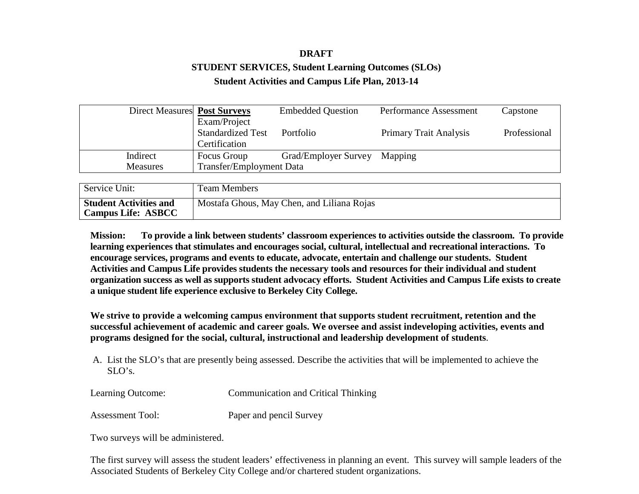# **DRAFT STUDENT SERVICES, Student Learning Outcomes (SLOs) Student Activities and Campus Life Plan, 2013-14**

| Direct Measures Post Surveys |                                 | <b>Embedded Question</b> | <b>Performance Assessment</b> | Capstone     |
|------------------------------|---------------------------------|--------------------------|-------------------------------|--------------|
|                              | Exam/Project                    |                          |                               |              |
|                              | <b>Standardized Test</b>        | Portfolio                | <b>Primary Trait Analysis</b> | Professional |
|                              | Certification                   |                          |                               |              |
| Indirect                     | Focus Group                     | Grad/Employer Survey     | Mapping                       |              |
| <b>Measures</b>              | <b>Transfer/Employment Data</b> |                          |                               |              |

| Service Unit:                                              | <b>Team Members</b>                        |
|------------------------------------------------------------|--------------------------------------------|
| <b>Student Activities and</b><br><b>Campus Life: ASBCC</b> | Mostafa Ghous, May Chen, and Liliana Rojas |

**Mission: To provide a link between students' classroom experiences to activities outside the classroom. To provide learning experiences that stimulates and encourages social, cultural, intellectual and recreational interactions. To encourage services, programs and events to educate, advocate, entertain and challenge our students. Student Activities and Campus Life provides students the necessary tools and resources for their individual and student organization success as well as supports student advocacy efforts. Student Activities and Campus Life exists to create a unique student life experience exclusive to Berkeley City College.**

**We strive to provide a welcoming campus environment that supports student recruitment, retention and the successful achievement of academic and career goals. We oversee and assist indeveloping activities, events and programs designed for the social, cultural, instructional and leadership development of students**.

A. List the SLO's that are presently being assessed. Describe the activities that will be implemented to achieve the  $SLO's$ .

| Learning Outcome: | <b>Communication and Critical Thinking</b> |
|-------------------|--------------------------------------------|
| Assessment Tool:  | Paper and pencil Survey                    |

Two surveys will be administered.

The first survey will assess the student leaders' effectiveness in planning an event. This survey will sample leaders of the Associated Students of Berkeley City College and/or chartered student organizations.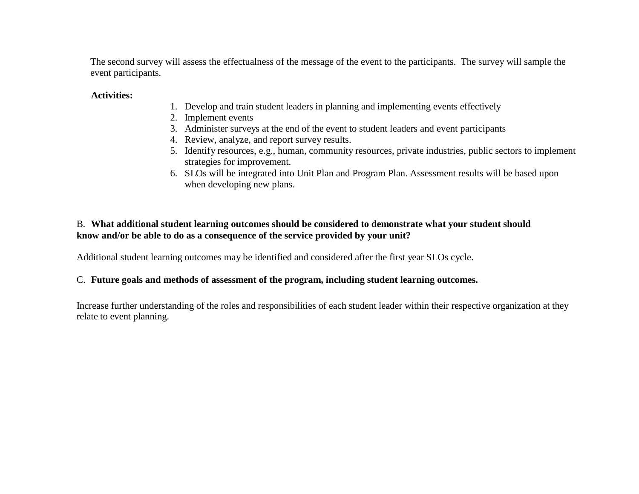The second survey will assess the effectualness of the message of the event to the participants. The survey will sample the event participants.

#### **Activities:**

- 1. Develop and train student leaders in planning and implementing events effectively
- 2. Implement events
- 3. Administer surveys at the end of the event to student leaders and event participants
- 4. Review, analyze, and report survey results.
- 5. Identify resources, e.g., human, community resources, private industries, public sectors to implement strategies for improvement.
- 6. SLOs will be integrated into Unit Plan and Program Plan. Assessment results will be based upon when developing new plans.

### B. **What additional student learning outcomes should be considered to demonstrate what your student should know and/or be able to do as a consequence of the service provided by your unit?**

Additional student learning outcomes may be identified and considered after the first year SLOs cycle.

## C. **Future goals and methods of assessment of the program, including student learning outcomes.**

Increase further understanding of the roles and responsibilities of each student leader within their respective organization at they relate to event planning.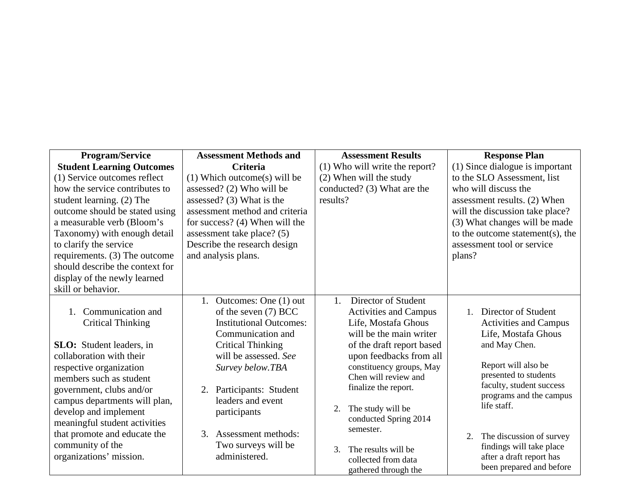| <b>Program/Service</b>           | <b>Assessment Methods and</b>  | <b>Assessment Results</b>                        | <b>Response Plan</b>                                |
|----------------------------------|--------------------------------|--------------------------------------------------|-----------------------------------------------------|
| <b>Student Learning Outcomes</b> | <b>Criteria</b>                | (1) Who will write the report?                   | (1) Since dialogue is important                     |
| (1) Service outcomes reflect     | $(1)$ Which outcome(s) will be | (2) When will the study                          | to the SLO Assessment, list                         |
| how the service contributes to   | assessed? (2) Who will be      | conducted? (3) What are the                      | who will discuss the                                |
| student learning. (2) The        | assessed? (3) What is the      | results?                                         | assessment results. (2) When                        |
| outcome should be stated using   | assessment method and criteria |                                                  | will the discussion take place?                     |
| a measurable verb (Bloom's       | for success? (4) When will the |                                                  | (3) What changes will be made                       |
| Taxonomy) with enough detail     | assessment take place? (5)     |                                                  | to the outcome statement(s), the                    |
| to clarify the service           | Describe the research design   |                                                  | assessment tool or service                          |
| requirements. (3) The outcome    | and analysis plans.            |                                                  | plans?                                              |
| should describe the context for  |                                |                                                  |                                                     |
| display of the newly learned     |                                |                                                  |                                                     |
| skill or behavior.               |                                |                                                  |                                                     |
|                                  | 1. Outcomes: One (1) out       | Director of Student<br>$1_{\cdot}$               |                                                     |
| Communication and<br>$1_{-}$     | of the seven (7) BCC           | <b>Activities and Campus</b>                     | Director of Student<br>$1_{-}$                      |
| <b>Critical Thinking</b>         | <b>Institutional Outcomes:</b> | Life, Mostafa Ghous                              | <b>Activities and Campus</b>                        |
|                                  | Communication and              | will be the main writer                          | Life, Mostafa Ghous                                 |
| <b>SLO</b> : Student leaders, in | <b>Critical Thinking</b>       | of the draft report based                        | and May Chen.                                       |
| collaboration with their         | will be assessed. See          | upon feedbacks from all                          |                                                     |
| respective organization          | Survey below.TBA               | constituency groups, May                         | Report will also be                                 |
| members such as student          |                                | Chen will review and                             | presented to students                               |
| government, clubs and/or         | Participants: Student<br>2.    | finalize the report.                             | faculty, student success<br>programs and the campus |
| campus departments will plan,    | leaders and event              |                                                  | life staff.                                         |
| develop and implement            | participants                   | The study will be<br>2.<br>conducted Spring 2014 |                                                     |
| meaningful student activities    |                                | semester.                                        |                                                     |
| that promote and educate the     | 3. Assessment methods:         |                                                  | The discussion of survey<br>2.                      |
| community of the                 | Two surveys will be            | The results will be<br>3.                        | findings will take place                            |
| organizations' mission.          | administered.                  | collected from data                              | after a draft report has                            |
|                                  |                                | gathered through the                             | been prepared and before                            |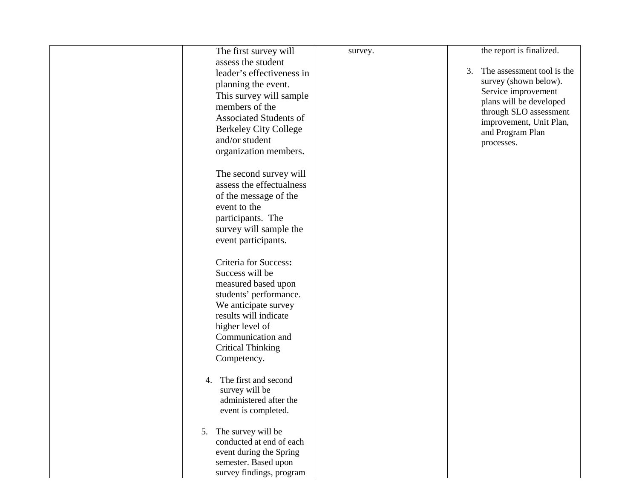| The first survey will                            | survey. | the report is finalized.                          |
|--------------------------------------------------|---------|---------------------------------------------------|
| assess the student                               |         |                                                   |
| leader's effectiveness in                        |         | The assessment tool is the<br>3.                  |
| planning the event.                              |         | survey (shown below).                             |
| This survey will sample                          |         | Service improvement                               |
| members of the                                   |         | plans will be developed<br>through SLO assessment |
| <b>Associated Students of</b>                    |         | improvement, Unit Plan,                           |
| <b>Berkeley City College</b>                     |         | and Program Plan                                  |
| and/or student                                   |         | processes.                                        |
| organization members.                            |         |                                                   |
|                                                  |         |                                                   |
| The second survey will                           |         |                                                   |
| assess the effectualness                         |         |                                                   |
| of the message of the                            |         |                                                   |
| event to the                                     |         |                                                   |
| participants. The                                |         |                                                   |
| survey will sample the                           |         |                                                   |
| event participants.                              |         |                                                   |
|                                                  |         |                                                   |
| Criteria for Success:                            |         |                                                   |
| Success will be                                  |         |                                                   |
| measured based upon                              |         |                                                   |
| students' performance.                           |         |                                                   |
| We anticipate survey                             |         |                                                   |
| results will indicate                            |         |                                                   |
| higher level of                                  |         |                                                   |
| Communication and                                |         |                                                   |
| <b>Critical Thinking</b>                         |         |                                                   |
| Competency.                                      |         |                                                   |
|                                                  |         |                                                   |
| The first and second<br>4.                       |         |                                                   |
| survey will be                                   |         |                                                   |
| administered after the                           |         |                                                   |
| event is completed.                              |         |                                                   |
|                                                  |         |                                                   |
| The survey will be<br>5.                         |         |                                                   |
| conducted at end of each                         |         |                                                   |
| event during the Spring                          |         |                                                   |
| semester. Based upon<br>survey findings, program |         |                                                   |
|                                                  |         |                                                   |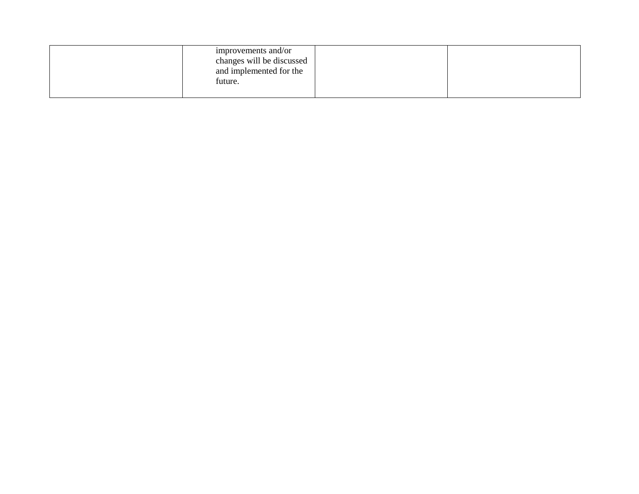| improvements and/or<br>changes will be discussed<br>and implemented for the<br>future. |  |
|----------------------------------------------------------------------------------------|--|
|                                                                                        |  |